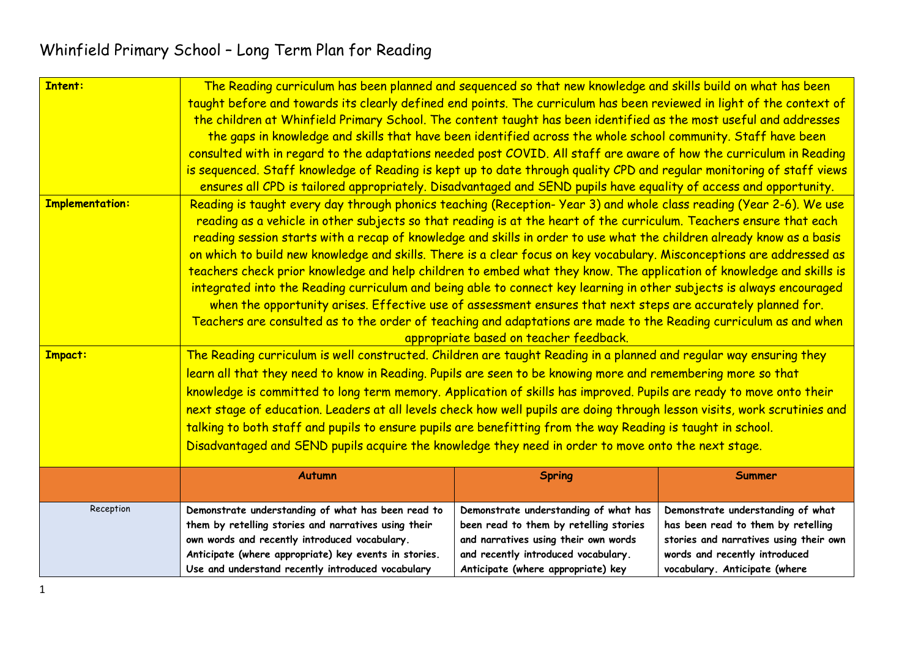| <b>Intent:</b>         | The Reading curriculum has been planned and sequenced so that new knowledge and skills build on what has been<br>taught before and towards its clearly defined end points. The curriculum has been reviewed in light of the context of<br>the children at Whinfield Primary School. The content taught has been identified as the most useful and addresses<br>the gaps in knowledge and skills that have been identified across the whole school community. Staff have been<br>consulted with in regard to the adaptations needed post COVID. All staff are aware of how the curriculum in Reading<br>is sequenced. Staff knowledge of Reading is kept up to date through quality CPD and regular monitoring of staff views<br>ensures all CPD is tailored appropriately. Disadvantaged and SEND pupils have equality of access and opportunity.                                                                                                                                                                          |                                                                                                                                                                                                      |                                                                                                                                                                                     |  |  |
|------------------------|----------------------------------------------------------------------------------------------------------------------------------------------------------------------------------------------------------------------------------------------------------------------------------------------------------------------------------------------------------------------------------------------------------------------------------------------------------------------------------------------------------------------------------------------------------------------------------------------------------------------------------------------------------------------------------------------------------------------------------------------------------------------------------------------------------------------------------------------------------------------------------------------------------------------------------------------------------------------------------------------------------------------------|------------------------------------------------------------------------------------------------------------------------------------------------------------------------------------------------------|-------------------------------------------------------------------------------------------------------------------------------------------------------------------------------------|--|--|
| <b>Implementation:</b> | Reading is taught every day through phonics teaching (Reception-Year 3) and whole class reading (Year 2-6). We use<br>reading as a vehicle in other subjects so that reading is at the heart of the curriculum. Teachers ensure that each<br>reading session starts with a recap of knowledge and skills in order to use what the children already know as a basis<br>on which to build new knowledge and skills. There is a clear focus on key vocabulary. Misconceptions are addressed as<br>teachers check prior knowledge and help children to embed what they know. The application of knowledge and skills is<br>integrated into the Reading curriculum and being able to connect key learning in other subjects is always encouraged<br>when the opportunity arises. Effective use of assessment ensures that next steps are accurately planned for.<br>Teachers are consulted as to the order of teaching and adaptations are made to the Reading curriculum as and when<br>appropriate based on teacher feedback. |                                                                                                                                                                                                      |                                                                                                                                                                                     |  |  |
| <b>Impact:</b>         | The Reading curriculum is well constructed. Children are taught Reading in a planned and regular way ensuring they<br>learn all that they need to know in Reading. Pupils are seen to be knowing more and remembering more so that<br>knowledge is committed to long term memory. Application of skills has improved. Pupils are ready to move onto their<br>next stage of education. Leaders at all levels check how well pupils are doing through lesson visits, work scrutinies and<br>talking to both staff and pupils to ensure pupils are benefitting from the way Reading is taught in school.<br>Disadvantaged and SEND pupils acquire the knowledge they need in order to move onto the next stage.                                                                                                                                                                                                                                                                                                               |                                                                                                                                                                                                      |                                                                                                                                                                                     |  |  |
|                        | <b>Autumn</b>                                                                                                                                                                                                                                                                                                                                                                                                                                                                                                                                                                                                                                                                                                                                                                                                                                                                                                                                                                                                              | <b>Spring</b>                                                                                                                                                                                        | Summer                                                                                                                                                                              |  |  |
| Reception              | Demonstrate understanding of what has been read to<br>them by retelling stories and narratives using their<br>own words and recently introduced vocabulary.<br>Anticipate (where appropriate) key events in stories.<br>Use and understand recently introduced vocabulary                                                                                                                                                                                                                                                                                                                                                                                                                                                                                                                                                                                                                                                                                                                                                  | Demonstrate understanding of what has<br>been read to them by retelling stories<br>and narratives using their own words<br>and recently introduced vocabulary.<br>Anticipate (where appropriate) key | Demonstrate understanding of what<br>has been read to them by retelling<br>stories and narratives using their own<br>words and recently introduced<br>vocabulary. Anticipate (where |  |  |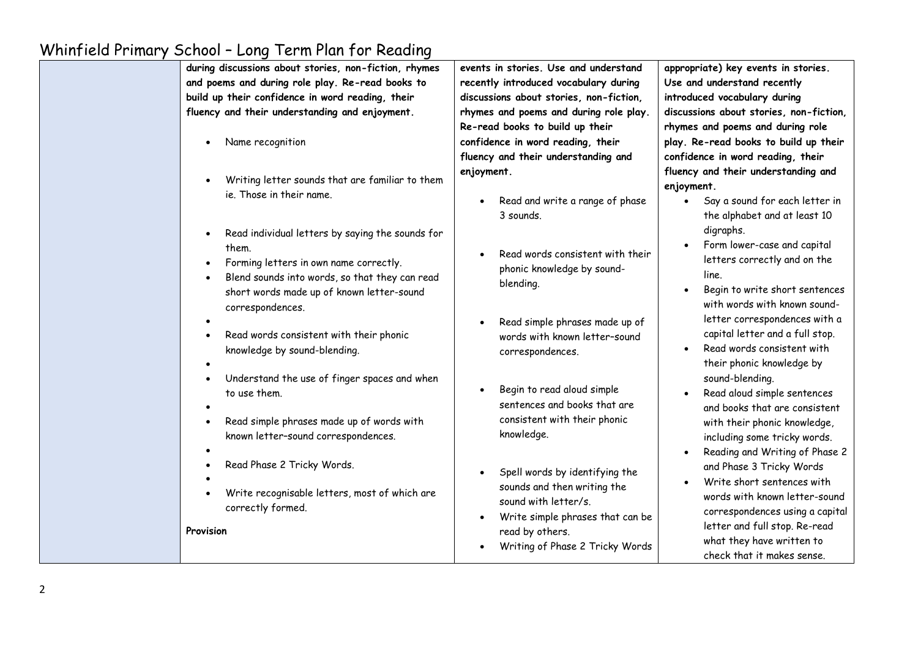| during discussions about stories, non-fiction, rhymes<br>and poems and during role play. Re-read books to<br>build up their confidence in word reading, their<br>fluency and their understanding and enjoyment.                                  | events in stories. Use and understand<br>recently introduced vocabulary during<br>discussions about stories, non-fiction,<br>rhymes and poems and during role play.<br>Re-read books to build up their | appropriate) key events in stories.<br>Use and understand recently<br>introduced vocabulary during<br>discussions about stories, non-fiction,<br>rhymes and poems and during role                                                                        |
|--------------------------------------------------------------------------------------------------------------------------------------------------------------------------------------------------------------------------------------------------|--------------------------------------------------------------------------------------------------------------------------------------------------------------------------------------------------------|----------------------------------------------------------------------------------------------------------------------------------------------------------------------------------------------------------------------------------------------------------|
| Name recognition                                                                                                                                                                                                                                 | confidence in word reading, their<br>fluency and their understanding and                                                                                                                               | play. Re-read books to build up their<br>confidence in word reading, their                                                                                                                                                                               |
| Writing letter sounds that are familiar to them<br>ie. Those in their name.                                                                                                                                                                      | enjoyment.<br>Read and write a range of phase<br>3 sounds.                                                                                                                                             | fluency and their understanding and<br>enjoyment.<br>Say a sound for each letter in<br>$\bullet$<br>the alphabet and at least 10                                                                                                                         |
| Read individual letters by saying the sounds for<br>$\bullet$<br>them.<br>Forming letters in own name correctly.<br>$\bullet$<br>Blend sounds into words, so that they can read<br>short words made up of known letter-sound<br>correspondences. | Read words consistent with their<br>phonic knowledge by sound-<br>blending.                                                                                                                            | digraphs.<br>Form lower-case and capital<br>letters correctly and on the<br>line.<br>Begin to write short sentences<br>$\bullet$<br>with words with known sound-                                                                                         |
| Read words consistent with their phonic<br>knowledge by sound-blending.                                                                                                                                                                          | Read simple phrases made up of<br>words with known letter-sound<br>correspondences.                                                                                                                    | letter correspondences with a<br>capital letter and a full stop.<br>Read words consistent with<br>their phonic knowledge by                                                                                                                              |
| Understand the use of finger spaces and when<br>$\bullet$<br>to use them.<br>Read simple phrases made up of words with<br>$\bullet$<br>known letter-sound correspondences.                                                                       | Begin to read aloud simple<br>sentences and books that are<br>consistent with their phonic<br>knowledge.                                                                                               | sound-blending.<br>Read aloud simple sentences<br>and books that are consistent<br>with their phonic knowledge,<br>including some tricky words.                                                                                                          |
| Read Phase 2 Tricky Words.<br>Write recognisable letters, most of which are<br>correctly formed.<br>Provision                                                                                                                                    | Spell words by identifying the<br>sounds and then writing the<br>sound with letter/s.<br>Write simple phrases that can be<br>read by others.<br>Writing of Phase 2 Tricky Words                        | Reading and Writing of Phase 2<br>and Phase 3 Tricky Words<br>Write short sentences with<br>words with known letter-sound<br>correspondences using a capital<br>letter and full stop. Re-read<br>what they have written to<br>check that it makes sense. |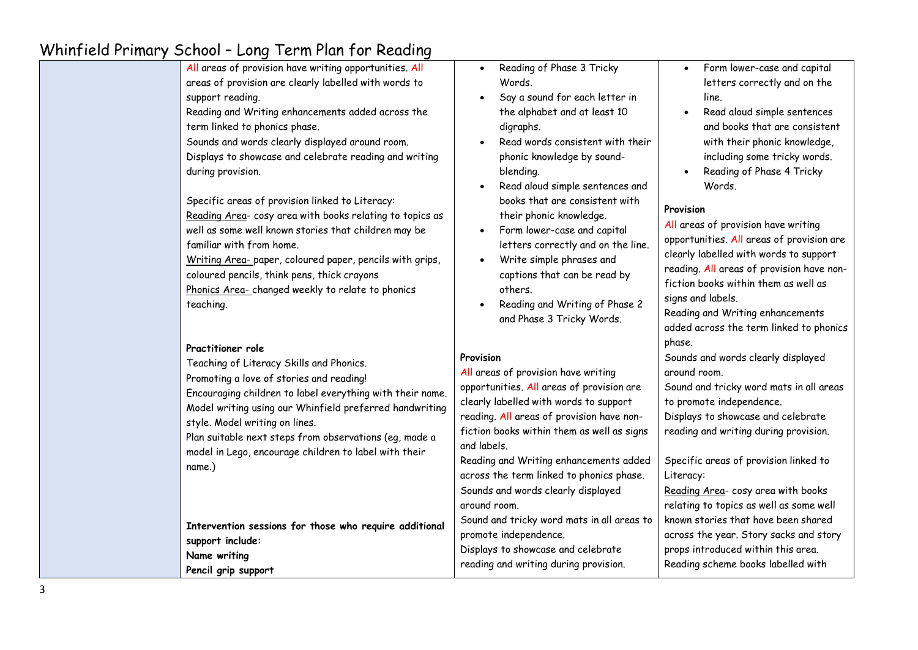| All areas of provision have writing opportunities. All<br>areas of provision are clearly labelled with words to<br>support reading.<br>Reading and Writing enhancements added across the<br>term linked to phonics phase.<br>Sounds and words clearly displayed around room.<br>Displays to showcase and celebrate reading and writing<br>during provision.<br>Specific areas of provision linked to Literacy:<br>Reading Area- cosy area with books relating to topics as<br>well as some well known stories that children may be | $\bullet$<br>$\bullet$<br>$\bullet$ | Reading of Phase 3 Tricky<br>Words.<br>Say a sound for each letter in<br>the alphabet and at least 10<br>digraphs.<br>Read words consistent with their<br>phonic knowledge by sound-<br>blending.<br>Read aloud simple sentences and<br>books that are consistent with<br>their phonic knowledge.<br>Form lower-case and capital                  | $\bullet$<br>$\bullet$<br>Provision | Form lower-case and capital<br>letters correctly and on the<br>line.<br>Read aloud simple sentences<br>and books that are consistent<br>with their phonic knowledge,<br>including some tricky words.<br>Reading of Phase 4 Tricky<br>Words.<br>All areas of provision have writing |
|------------------------------------------------------------------------------------------------------------------------------------------------------------------------------------------------------------------------------------------------------------------------------------------------------------------------------------------------------------------------------------------------------------------------------------------------------------------------------------------------------------------------------------|-------------------------------------|---------------------------------------------------------------------------------------------------------------------------------------------------------------------------------------------------------------------------------------------------------------------------------------------------------------------------------------------------|-------------------------------------|------------------------------------------------------------------------------------------------------------------------------------------------------------------------------------------------------------------------------------------------------------------------------------|
| familiar with from home.<br>Writing Area- paper, coloured paper, pencils with grips,<br>coloured pencils, think pens, thick crayons<br>Phonics Area-changed weekly to relate to phonics<br>teaching.<br>Practitioner role                                                                                                                                                                                                                                                                                                          | $\bullet$<br>$\bullet$              | letters correctly and on the line.<br>Write simple phrases and<br>captions that can be read by<br>others.<br>Reading and Writing of Phase 2<br>and Phase 3 Tricky Words.                                                                                                                                                                          | phase.                              | opportunities. All areas of provision are<br>clearly labelled with words to support<br>reading. All areas of provision have non-<br>fiction books within them as well as<br>signs and labels.<br>Reading and Writing enhancements<br>added across the term linked to phonics       |
| Teaching of Literacy Skills and Phonics.<br>Promoting a love of stories and reading!<br>Encouraging children to label everything with their name.<br>Model writing using our Whinfield preferred handwriting<br>style. Model writing on lines.<br>Plan suitable next steps from observations (eg, made a<br>model in Lego, encourage children to label with their<br>name.)                                                                                                                                                        | Provision<br>and labels.            | All areas of provision have writing<br>opportunities. All areas of provision are<br>clearly labelled with words to support<br>reading. All areas of provision have non-<br>fiction books within them as well as signs<br>Reading and Writing enhancements added<br>across the term linked to phonics phase.<br>Sounds and words clearly displayed | around room.<br>Literacy:           | Sounds and words clearly displayed<br>Sound and tricky word mats in all areas<br>to promote independence.<br>Displays to showcase and celebrate<br>reading and writing during provision.<br>Specific areas of provision linked to<br>Reading Area- cosy area with books            |
| Intervention sessions for those who require additional<br>support include:<br>Name writing<br>Pencil grip support                                                                                                                                                                                                                                                                                                                                                                                                                  | around room.                        | Sound and tricky word mats in all areas to<br>promote independence.<br>Displays to showcase and celebrate<br>reading and writing during provision.                                                                                                                                                                                                |                                     | relating to topics as well as some well<br>known stories that have been shared<br>across the year. Story sacks and story<br>props introduced within this area.<br>Reading scheme books labelled with                                                                               |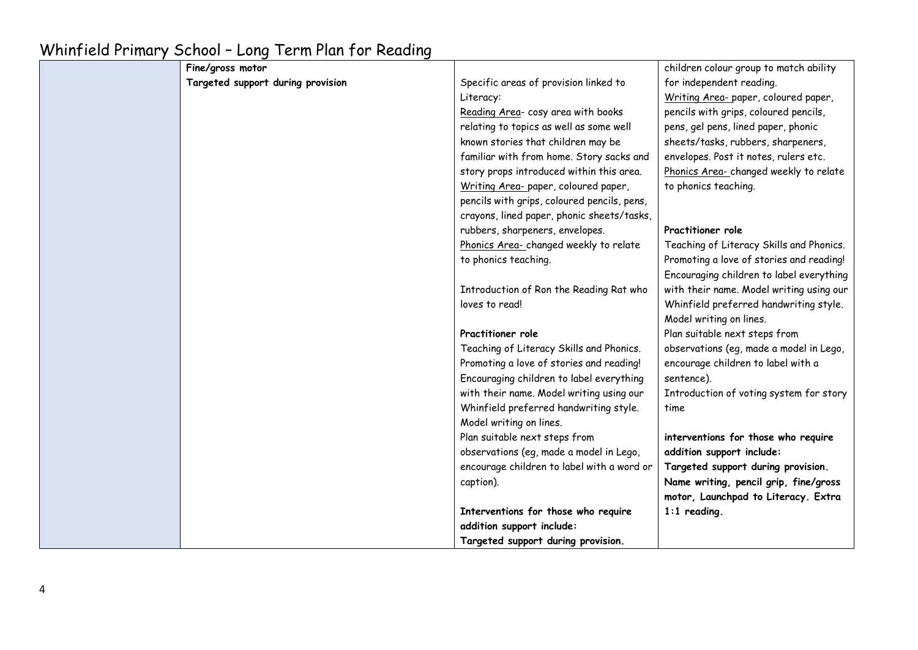| Fine/gross motor                  |                                             | children colour group to match ability   |
|-----------------------------------|---------------------------------------------|------------------------------------------|
| Targeted support during provision | Specific areas of provision linked to       | for independent reading.                 |
|                                   | Literacy:                                   | Writing Area-paper, coloured paper,      |
|                                   | Reading Area- cosy area with books          | pencils with grips, coloured pencils,    |
|                                   | relating to topics as well as some well     | pens, gel pens, lined paper, phonic      |
|                                   | known stories that children may be          | sheets/tasks, rubbers, sharpeners,       |
|                                   | familiar with from home. Story sacks and    | envelopes. Post it notes, rulers etc.    |
|                                   | story props introduced within this area.    | Phonics Area-changed weekly to relate    |
|                                   | Writing Area- paper, coloured paper,        | to phonics teaching.                     |
|                                   | pencils with grips, coloured pencils, pens, |                                          |
|                                   | crayons, lined paper, phonic sheets/tasks,  |                                          |
|                                   | rubbers, sharpeners, envelopes.             | Practitioner role                        |
|                                   | Phonics Area-changed weekly to relate       | Teaching of Literacy Skills and Phonics. |
|                                   | to phonics teaching.                        | Promoting a love of stories and reading! |
|                                   |                                             | Encouraging children to label everything |
|                                   | Introduction of Ron the Reading Rat who     | with their name. Model writing using our |
|                                   | loves to read!                              | Whinfield preferred handwriting style.   |
|                                   |                                             | Model writing on lines.                  |
|                                   | Practitioner role                           | Plan suitable next steps from            |
|                                   | Teaching of Literacy Skills and Phonics.    | observations (eg, made a model in Lego,  |
|                                   | Promoting a love of stories and reading!    | encourage children to label with a       |
|                                   | Encouraging children to label everything    | sentence).                               |
|                                   | with their name. Model writing using our    | Introduction of voting system for story  |
|                                   | Whinfield preferred handwriting style.      | time                                     |
|                                   | Model writing on lines.                     |                                          |
|                                   | Plan suitable next steps from               | interventions for those who require      |
|                                   | observations (eg, made a model in Lego,     | addition support include:                |
|                                   | encourage children to label with a word or  | Targeted support during provision.       |
|                                   | caption).                                   | Name writing, pencil grip, fine/gross    |
|                                   |                                             | motor, Launchpad to Literacy. Extra      |
|                                   | Interventions for those who require         | $1:1$ reading.                           |
|                                   | addition support include:                   |                                          |
|                                   | Targeted support during provision.          |                                          |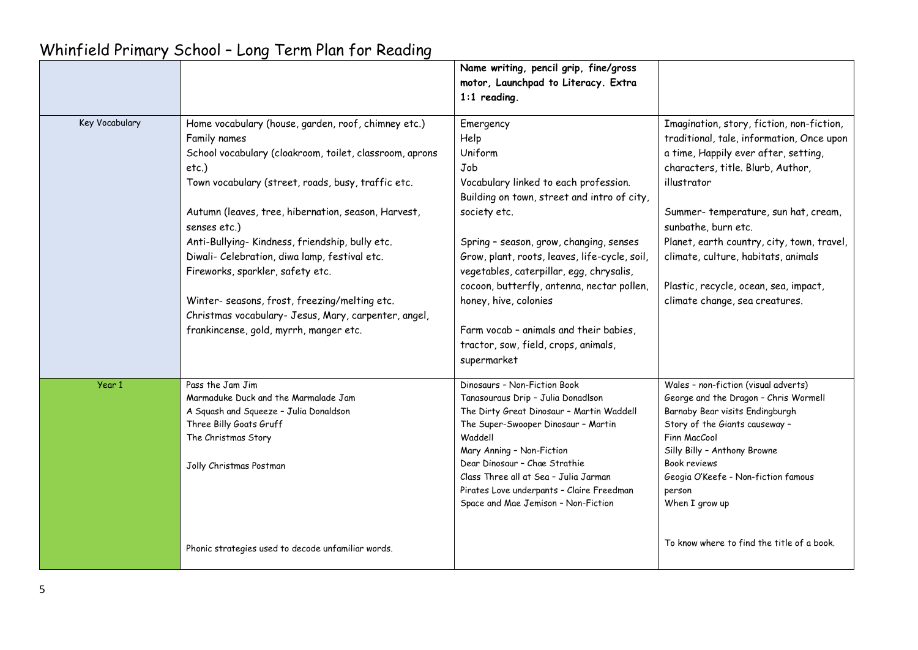|                |                                                                                                                                                                                                                                                                                                                                                                                                                                                                                                                                                                | Name writing, pencil grip, fine/gross<br>motor, Launchpad to Literacy. Extra<br>$1:1$ reading.                                                                                                                                                                                                                                                                                                                                                              |                                                                                                                                                                                                                                                                                                                                                                                                                  |
|----------------|----------------------------------------------------------------------------------------------------------------------------------------------------------------------------------------------------------------------------------------------------------------------------------------------------------------------------------------------------------------------------------------------------------------------------------------------------------------------------------------------------------------------------------------------------------------|-------------------------------------------------------------------------------------------------------------------------------------------------------------------------------------------------------------------------------------------------------------------------------------------------------------------------------------------------------------------------------------------------------------------------------------------------------------|------------------------------------------------------------------------------------------------------------------------------------------------------------------------------------------------------------------------------------------------------------------------------------------------------------------------------------------------------------------------------------------------------------------|
| Key Vocabulary | Home vocabulary (house, garden, roof, chimney etc.)<br>Family names<br>School vocabulary (cloakroom, toilet, classroom, aprons<br>etc.)<br>Town vocabulary (street, roads, busy, traffic etc.<br>Autumn (leaves, tree, hibernation, season, Harvest,<br>senses etc.)<br>Anti-Bullying-Kindness, friendship, bully etc.<br>Diwali- Celebration, diwa lamp, festival etc.<br>Fireworks, sparkler, safety etc.<br>Winter- seasons, frost, freezing/melting etc.<br>Christmas vocabulary- Jesus, Mary, carpenter, angel,<br>frankincense, gold, myrrh, manger etc. | Emergency<br>Help<br>Uniform<br>Job<br>Vocabulary linked to each profession.<br>Building on town, street and intro of city,<br>society etc.<br>Spring - season, grow, changing, senses<br>Grow, plant, roots, leaves, life-cycle, soil,<br>vegetables, caterpillar, egg, chrysalis,<br>cocoon, butterfly, antenna, nectar pollen,<br>honey, hive, colonies<br>Farm vocab - animals and their babies,<br>tractor, sow, field, crops, animals,<br>supermarket | Imagination, story, fiction, non-fiction,<br>traditional, tale, information, Once upon<br>a time, Happily ever after, setting,<br>characters, title. Blurb, Author,<br>illustrator<br>Summer-temperature, sun hat, cream,<br>sunbathe, burn etc.<br>Planet, earth country, city, town, travel,<br>climate, culture, habitats, animals<br>Plastic, recycle, ocean, sea, impact,<br>climate change, sea creatures. |
| Year 1         | Pass the Jam Jim<br>Marmaduke Duck and the Marmalade Jam<br>A Squash and Squeeze - Julia Donaldson<br>Three Billy Goats Gruff<br>The Christmas Story<br>Jolly Christmas Postman<br>Phonic strategies used to decode unfamiliar words.                                                                                                                                                                                                                                                                                                                          | Dinosaurs - Non-Fiction Book<br>Tanasouraus Drip - Julia Donadlson<br>The Dirty Great Dinosaur - Martin Waddell<br>The Super-Swooper Dinosaur - Martin<br>Waddell<br>Mary Anning - Non-Fiction<br>Dear Dinosaur - Chae Strathie<br>Class Three all at Sea - Julia Jarman<br>Pirates Love underpants - Claire Freedman<br>Space and Mae Jemison - Non-Fiction                                                                                                | Wales - non-fiction (visual adverts)<br>George and the Dragon - Chris Wormell<br>Barnaby Bear visits Endingburgh<br>Story of the Giants causeway -<br>Finn MacCool<br>Silly Billy - Anthony Browne<br>Book reviews<br>Geogia O'Keefe - Non-fiction famous<br>person<br>When I grow up<br>To know where to find the title of a book.                                                                              |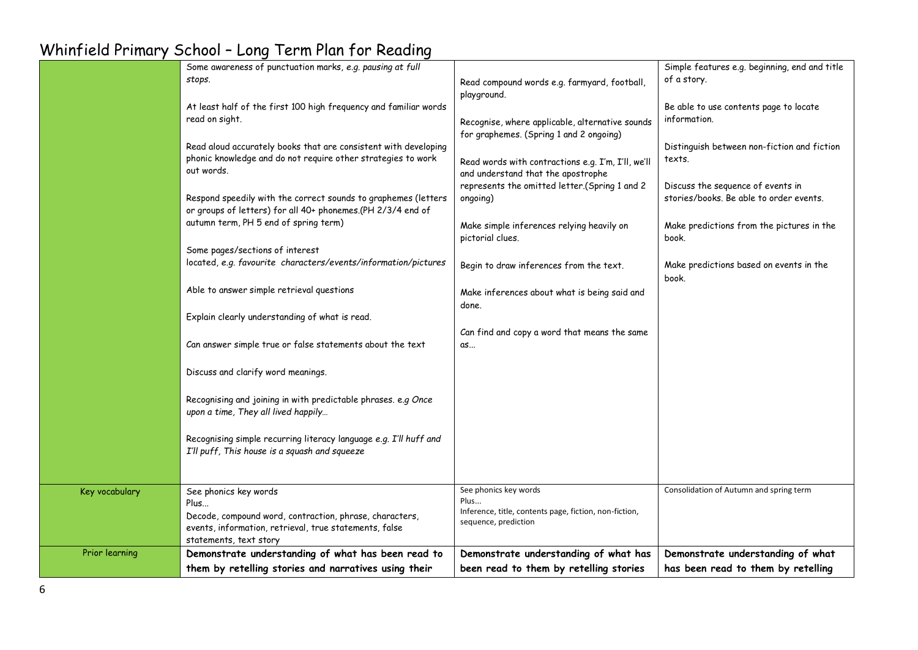|                | Some awareness of punctuation marks, e.g. pausing at full                                                                                                                    |                                                                                                                                     | Simple features e.g. beginning, end and title                                |
|----------------|------------------------------------------------------------------------------------------------------------------------------------------------------------------------------|-------------------------------------------------------------------------------------------------------------------------------------|------------------------------------------------------------------------------|
|                | stops.                                                                                                                                                                       | Read compound words e.g. farmyard, football,<br>playground.                                                                         | of a story.                                                                  |
|                | At least half of the first 100 high frequency and familiar words<br>read on sight.                                                                                           | Recognise, where applicable, alternative sounds                                                                                     | Be able to use contents page to locate<br>information.                       |
|                | Read aloud accurately books that are consistent with developing<br>phonic knowledge and do not require other strategies to work<br>out words.                                | for graphemes. (Spring 1 and 2 ongoing)<br>Read words with contractions e.g. I'm, I'll, we'll<br>and understand that the apostrophe | Distinguish between non-fiction and fiction<br>texts.                        |
|                | Respond speedily with the correct sounds to graphemes (letters<br>or groups of letters) for all 40+ phonemes.(PH 2/3/4 end of                                                | represents the omitted letter.(Spring 1 and 2<br>ongoing)                                                                           | Discuss the sequence of events in<br>stories/books. Be able to order events. |
|                | autumn term, PH 5 end of spring term)                                                                                                                                        | Make simple inferences relying heavily on<br>pictorial clues.                                                                       | Make predictions from the pictures in the<br>book.                           |
|                | Some pages/sections of interest                                                                                                                                              |                                                                                                                                     |                                                                              |
|                | located, e.g. favourite characters/events/information/pictures                                                                                                               | Begin to draw inferences from the text.                                                                                             | Make predictions based on events in the<br>book.                             |
|                | Able to answer simple retrieval questions                                                                                                                                    | Make inferences about what is being said and<br>done.                                                                               |                                                                              |
|                | Explain clearly understanding of what is read.                                                                                                                               |                                                                                                                                     |                                                                              |
|                | Can answer simple true or false statements about the text                                                                                                                    | Can find and copy a word that means the same<br>as                                                                                  |                                                                              |
|                | Discuss and clarify word meanings.                                                                                                                                           |                                                                                                                                     |                                                                              |
|                | Recognising and joining in with predictable phrases. e.g Once<br>upon a time, They all lived happily                                                                         |                                                                                                                                     |                                                                              |
|                | Recognising simple recurring literacy language e.g. I'll huff and<br>I'll puff, This house is a squash and squeeze                                                           |                                                                                                                                     |                                                                              |
| Key vocabulary | See phonics key words<br>Plus<br>Decode, compound word, contraction, phrase, characters,<br>events, information, retrieval, true statements, false<br>statements, text story | See phonics key words<br>Plus<br>Inference, title, contents page, fiction, non-fiction,<br>sequence, prediction                     | Consolidation of Autumn and spring term                                      |
| Prior learning | Demonstrate understanding of what has been read to                                                                                                                           | Demonstrate understanding of what has                                                                                               | Demonstrate understanding of what                                            |
|                | them by retelling stories and narratives using their                                                                                                                         | been read to them by retelling stories                                                                                              | has been read to them by retelling                                           |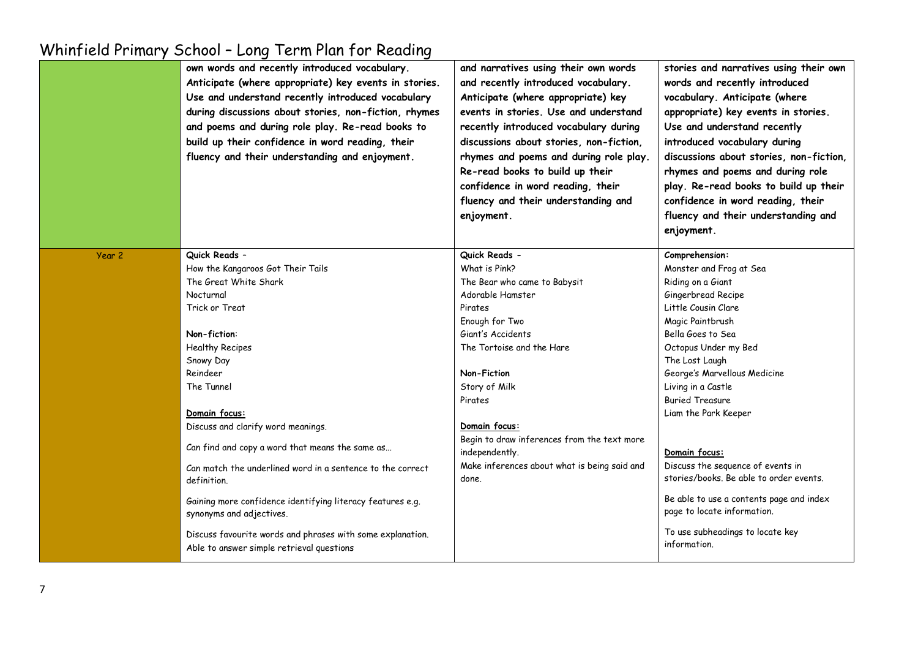|        | own words and recently introduced vocabulary.<br>Anticipate (where appropriate) key events in stories.<br>Use and understand recently introduced vocabulary<br>during discussions about stories, non-fiction, rhymes<br>and poems and during role play. Re-read books to<br>build up their confidence in word reading, their<br>fluency and their understanding and enjoyment. | and narratives using their own words<br>and recently introduced vocabulary.<br>Anticipate (where appropriate) key<br>events in stories. Use and understand<br>recently introduced vocabulary during<br>discussions about stories, non-fiction,<br>rhymes and poems and during role play.<br>Re-read books to build up their<br>confidence in word reading, their<br>fluency and their understanding and<br>enjoyment. | stories and narratives using their own<br>words and recently introduced<br>vocabulary. Anticipate (where<br>appropriate) key events in stories.<br>Use and understand recently<br>introduced vocabulary during<br>discussions about stories, non-fiction,<br>rhymes and poems and during role<br>play. Re-read books to build up their<br>confidence in word reading, their<br>fluency and their understanding and<br>enjoyment. |
|--------|--------------------------------------------------------------------------------------------------------------------------------------------------------------------------------------------------------------------------------------------------------------------------------------------------------------------------------------------------------------------------------|-----------------------------------------------------------------------------------------------------------------------------------------------------------------------------------------------------------------------------------------------------------------------------------------------------------------------------------------------------------------------------------------------------------------------|----------------------------------------------------------------------------------------------------------------------------------------------------------------------------------------------------------------------------------------------------------------------------------------------------------------------------------------------------------------------------------------------------------------------------------|
| Year 2 | Quick Reads -                                                                                                                                                                                                                                                                                                                                                                  | Quick Reads -                                                                                                                                                                                                                                                                                                                                                                                                         | Comprehension:                                                                                                                                                                                                                                                                                                                                                                                                                   |
|        | How the Kangaroos Got Their Tails                                                                                                                                                                                                                                                                                                                                              | What is Pink?                                                                                                                                                                                                                                                                                                                                                                                                         | Monster and Frog at Sea                                                                                                                                                                                                                                                                                                                                                                                                          |
|        | The Great White Shark                                                                                                                                                                                                                                                                                                                                                          | The Bear who came to Babysit                                                                                                                                                                                                                                                                                                                                                                                          | Riding on a Giant                                                                                                                                                                                                                                                                                                                                                                                                                |
|        | Nocturnal                                                                                                                                                                                                                                                                                                                                                                      | Adorable Hamster                                                                                                                                                                                                                                                                                                                                                                                                      | Gingerbread Recipe                                                                                                                                                                                                                                                                                                                                                                                                               |
|        | Trick or Treat                                                                                                                                                                                                                                                                                                                                                                 | Pirates                                                                                                                                                                                                                                                                                                                                                                                                               | Little Cousin Clare                                                                                                                                                                                                                                                                                                                                                                                                              |
|        |                                                                                                                                                                                                                                                                                                                                                                                | Enough for Two                                                                                                                                                                                                                                                                                                                                                                                                        | Magic Paintbrush                                                                                                                                                                                                                                                                                                                                                                                                                 |
|        | Non-fiction:                                                                                                                                                                                                                                                                                                                                                                   | Giant's Accidents                                                                                                                                                                                                                                                                                                                                                                                                     | Bella Goes to Sea                                                                                                                                                                                                                                                                                                                                                                                                                |
|        | Healthy Recipes                                                                                                                                                                                                                                                                                                                                                                | The Tortoise and the Hare                                                                                                                                                                                                                                                                                                                                                                                             | Octopus Under my Bed                                                                                                                                                                                                                                                                                                                                                                                                             |
|        | Snowy Day                                                                                                                                                                                                                                                                                                                                                                      |                                                                                                                                                                                                                                                                                                                                                                                                                       | The Lost Laugh                                                                                                                                                                                                                                                                                                                                                                                                                   |
|        | Reindeer                                                                                                                                                                                                                                                                                                                                                                       | Non-Fiction                                                                                                                                                                                                                                                                                                                                                                                                           | George's Marvellous Medicine                                                                                                                                                                                                                                                                                                                                                                                                     |
|        | The Tunnel                                                                                                                                                                                                                                                                                                                                                                     | Story of Milk                                                                                                                                                                                                                                                                                                                                                                                                         | Living in a Castle                                                                                                                                                                                                                                                                                                                                                                                                               |
|        |                                                                                                                                                                                                                                                                                                                                                                                | Pirates                                                                                                                                                                                                                                                                                                                                                                                                               | <b>Buried Treasure</b>                                                                                                                                                                                                                                                                                                                                                                                                           |
|        | Domain focus:                                                                                                                                                                                                                                                                                                                                                                  |                                                                                                                                                                                                                                                                                                                                                                                                                       | Liam the Park Keeper                                                                                                                                                                                                                                                                                                                                                                                                             |
|        | Discuss and clarify word meanings.                                                                                                                                                                                                                                                                                                                                             | Domain focus:                                                                                                                                                                                                                                                                                                                                                                                                         |                                                                                                                                                                                                                                                                                                                                                                                                                                  |
|        | Can find and copy a word that means the same as                                                                                                                                                                                                                                                                                                                                | Begin to draw inferences from the text more<br>independently.                                                                                                                                                                                                                                                                                                                                                         | Domain focus:                                                                                                                                                                                                                                                                                                                                                                                                                    |
|        | Can match the underlined word in a sentence to the correct                                                                                                                                                                                                                                                                                                                     | Make inferences about what is being said and                                                                                                                                                                                                                                                                                                                                                                          | Discuss the sequence of events in                                                                                                                                                                                                                                                                                                                                                                                                |
|        | definition.                                                                                                                                                                                                                                                                                                                                                                    | done.                                                                                                                                                                                                                                                                                                                                                                                                                 | stories/books. Be able to order events.                                                                                                                                                                                                                                                                                                                                                                                          |
|        | Gaining more confidence identifying literacy features e.g.<br>synonyms and adjectives.                                                                                                                                                                                                                                                                                         |                                                                                                                                                                                                                                                                                                                                                                                                                       | Be able to use a contents page and index<br>page to locate information.                                                                                                                                                                                                                                                                                                                                                          |
|        | Discuss favourite words and phrases with some explanation.<br>Able to answer simple retrieval questions                                                                                                                                                                                                                                                                        |                                                                                                                                                                                                                                                                                                                                                                                                                       | To use subheadings to locate key<br>information.                                                                                                                                                                                                                                                                                                                                                                                 |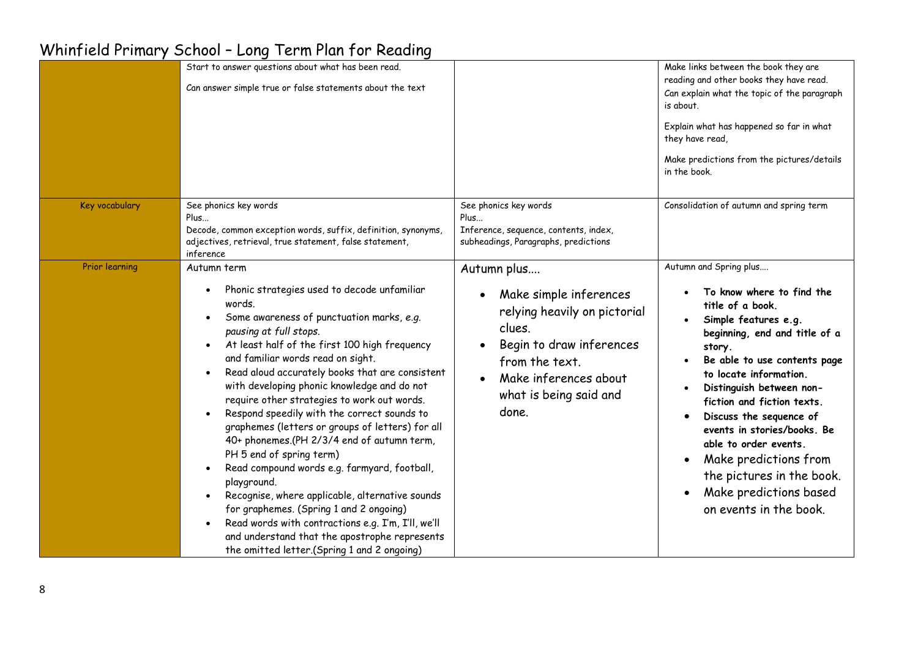|                       | Start to answer questions about what has been read.<br>Can answer simple true or false statements about the text                                                                                                                                                                                                                                                                                                                                                                                                                                                                                                                                                                                                                                                                                                                                                                                                  |                                                                                                                                                                                           | Make links between the book they are<br>reading and other books they have read.<br>Can explain what the topic of the paragraph<br>is about.<br>Explain what has happened so far in what<br>they have read,<br>Make predictions from the pictures/details<br>in the book.                                                                                                                                                                                                 |
|-----------------------|-------------------------------------------------------------------------------------------------------------------------------------------------------------------------------------------------------------------------------------------------------------------------------------------------------------------------------------------------------------------------------------------------------------------------------------------------------------------------------------------------------------------------------------------------------------------------------------------------------------------------------------------------------------------------------------------------------------------------------------------------------------------------------------------------------------------------------------------------------------------------------------------------------------------|-------------------------------------------------------------------------------------------------------------------------------------------------------------------------------------------|--------------------------------------------------------------------------------------------------------------------------------------------------------------------------------------------------------------------------------------------------------------------------------------------------------------------------------------------------------------------------------------------------------------------------------------------------------------------------|
| Key vocabulary        | See phonics key words<br>Plus<br>Decode, common exception words, suffix, definition, synonyms,<br>adjectives, retrieval, true statement, false statement,<br>inference                                                                                                                                                                                                                                                                                                                                                                                                                                                                                                                                                                                                                                                                                                                                            | See phonics key words<br>Plus<br>Inference, sequence, contents, index,<br>subheadings, Paragraphs, predictions                                                                            | Consolidation of autumn and spring term                                                                                                                                                                                                                                                                                                                                                                                                                                  |
| <b>Prior learning</b> | Autumn term<br>Phonic strategies used to decode unfamiliar<br>٠<br>words.<br>Some awareness of punctuation marks, e.g.<br>pausing at full stops.<br>At least half of the first 100 high frequency<br>and familiar words read on sight.<br>Read aloud accurately books that are consistent<br>with developing phonic knowledge and do not<br>require other strategies to work out words.<br>Respond speedily with the correct sounds to<br>graphemes (letters or groups of letters) for all<br>40+ phonemes.(PH 2/3/4 end of autumn term,<br>PH 5 end of spring term)<br>Read compound words e.g. farmyard, football,<br>$\bullet$<br>playground.<br>Recognise, where applicable, alternative sounds<br>$\bullet$<br>for graphemes. (Spring 1 and 2 ongoing)<br>Read words with contractions e.g. I'm, I'll, we'll<br>and understand that the apostrophe represents<br>the omitted letter.(Spring 1 and 2 ongoing) | Autumn plus<br>Make simple inferences<br>relying heavily on pictorial<br>clues.<br>Begin to draw inferences<br>from the text.<br>Make inferences about<br>what is being said and<br>done. | Autumn and Spring plus<br>To know where to find the<br>title of a book.<br>Simple features e.g.<br>beginning, end and title of a<br>story.<br>Be able to use contents page<br>to locate information.<br>Distinguish between non-<br>fiction and fiction texts.<br>Discuss the sequence of<br>events in stories/books. Be<br>able to order events.<br>Make predictions from<br>$\bullet$<br>the pictures in the book.<br>Make predictions based<br>on events in the book. |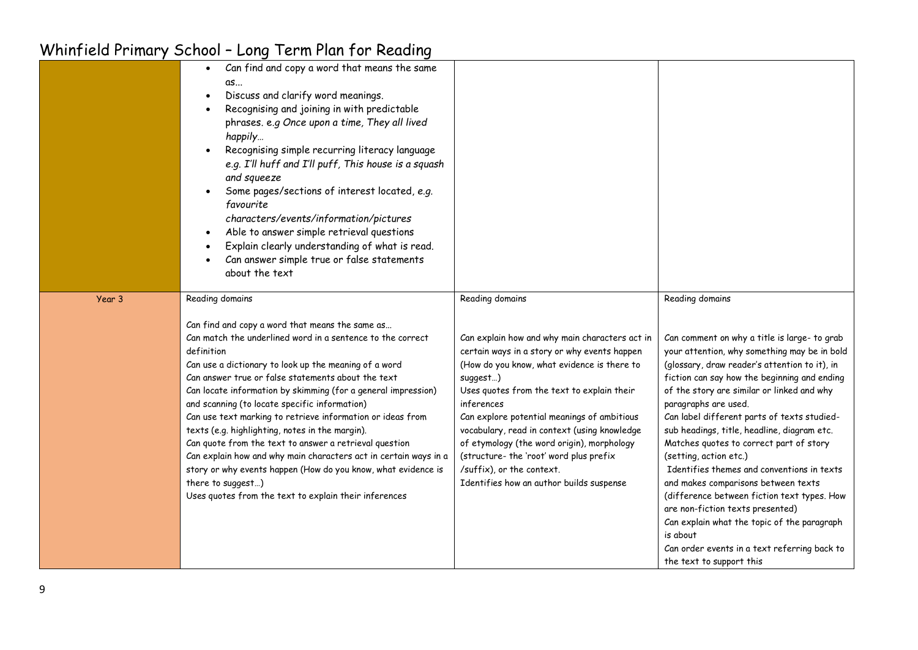|        | Can find and copy a word that means the same<br>$\bullet$<br>αs<br>Discuss and clarify word meanings.<br>Recognising and joining in with predictable<br>phrases. e.g Once upon a time, They all lived<br>happily<br>Recognising simple recurring literacy language<br>e.g. I'll huff and I'll puff, This house is a squash<br>and squeeze<br>Some pages/sections of interest located, e.g.<br>favourite<br>characters/events/information/pictures<br>Able to answer simple retrieval questions<br>Explain clearly understanding of what is read.<br>Can answer simple true or false statements<br>about the text                                                                                                                                                              |                                                                                                                                                                                                                                                                                                                                                                                                                                                                                                           |                                                                                                                                                                                                                                                                                                                                                                                                                                                                                                                                                                                                                                                                                                                                                                          |
|--------|-------------------------------------------------------------------------------------------------------------------------------------------------------------------------------------------------------------------------------------------------------------------------------------------------------------------------------------------------------------------------------------------------------------------------------------------------------------------------------------------------------------------------------------------------------------------------------------------------------------------------------------------------------------------------------------------------------------------------------------------------------------------------------|-----------------------------------------------------------------------------------------------------------------------------------------------------------------------------------------------------------------------------------------------------------------------------------------------------------------------------------------------------------------------------------------------------------------------------------------------------------------------------------------------------------|--------------------------------------------------------------------------------------------------------------------------------------------------------------------------------------------------------------------------------------------------------------------------------------------------------------------------------------------------------------------------------------------------------------------------------------------------------------------------------------------------------------------------------------------------------------------------------------------------------------------------------------------------------------------------------------------------------------------------------------------------------------------------|
| Year 3 | Reading domains<br>Can find and copy a word that means the same as<br>Can match the underlined word in a sentence to the correct<br>definition<br>Can use a dictionary to look up the meaning of a word<br>Can answer true or false statements about the text<br>Can locate information by skimming (for a general impression)<br>and scanning (to locate specific information)<br>Can use text marking to retrieve information or ideas from<br>texts (e.g. highlighting, notes in the margin).<br>Can quote from the text to answer a retrieval question<br>Can explain how and why main characters act in certain ways in a<br>story or why events happen (How do you know, what evidence is<br>there to suggest)<br>Uses quotes from the text to explain their inferences | Reading domains<br>Can explain how and why main characters act in<br>certain ways in a story or why events happen<br>(How do you know, what evidence is there to<br>suggest)<br>Uses quotes from the text to explain their<br>inferences<br>Can explore potential meanings of ambitious<br>vocabulary, read in context (using knowledge<br>of etymology (the word origin), morphology<br>(structure- the 'root' word plus prefix<br>/suffix), or the context.<br>Identifies how an author builds suspense | Reading domains<br>Can comment on why a title is large- to grab<br>your attention, why something may be in bold<br>(glossary, draw reader's attention to it), in<br>fiction can say how the beginning and ending<br>of the story are similar or linked and why<br>paragraphs are used.<br>Can label different parts of texts studied-<br>sub headings, title, headline, diagram etc.<br>Matches quotes to correct part of story<br>(setting, action etc.)<br>Identifies themes and conventions in texts<br>and makes comparisons between texts<br>(difference between fiction text types. How<br>are non-fiction texts presented)<br>Can explain what the topic of the paragraph<br>is about<br>Can order events in a text referring back to<br>the text to support this |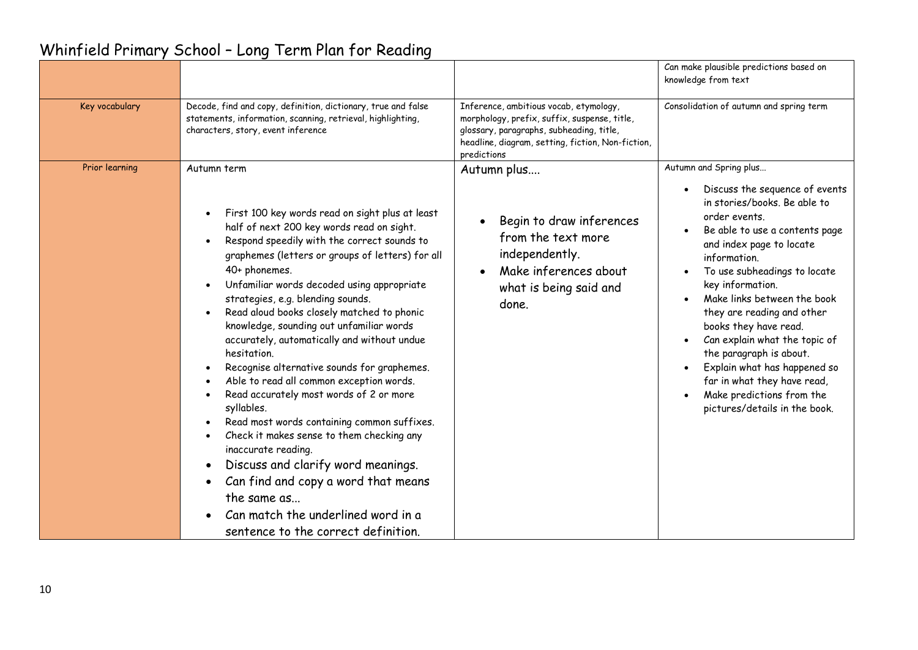|                |                                                                                                                                                                                                                                                                                                                                                                                                                                                                                                                                                                                                                                                                                                                                                                                                                                                                                                                            |                                                                                                                                                                                                        | Can make plausible predictions based on<br>knowledge from text                                                                                                                                                                                                                                                                                                                                                                                                                                                             |
|----------------|----------------------------------------------------------------------------------------------------------------------------------------------------------------------------------------------------------------------------------------------------------------------------------------------------------------------------------------------------------------------------------------------------------------------------------------------------------------------------------------------------------------------------------------------------------------------------------------------------------------------------------------------------------------------------------------------------------------------------------------------------------------------------------------------------------------------------------------------------------------------------------------------------------------------------|--------------------------------------------------------------------------------------------------------------------------------------------------------------------------------------------------------|----------------------------------------------------------------------------------------------------------------------------------------------------------------------------------------------------------------------------------------------------------------------------------------------------------------------------------------------------------------------------------------------------------------------------------------------------------------------------------------------------------------------------|
| Key vocabulary | Decode, find and copy, definition, dictionary, true and false<br>statements, information, scanning, retrieval, highlighting,<br>characters, story, event inference                                                                                                                                                                                                                                                                                                                                                                                                                                                                                                                                                                                                                                                                                                                                                         | Inference, ambitious vocab, etymology,<br>morphology, prefix, suffix, suspense, title,<br>glossary, paragraphs, subheading, title,<br>headline, diagram, setting, fiction, Non-fiction,<br>predictions | Consolidation of autumn and spring term                                                                                                                                                                                                                                                                                                                                                                                                                                                                                    |
| Prior learning | Autumn term<br>First 100 key words read on sight plus at least<br>half of next 200 key words read on sight.<br>Respond speedily with the correct sounds to<br>graphemes (letters or groups of letters) for all<br>40+ phonemes.<br>Unfamiliar words decoded using appropriate<br>strategies, e.g. blending sounds.<br>Read aloud books closely matched to phonic<br>knowledge, sounding out unfamiliar words<br>accurately, automatically and without undue<br>hesitation.<br>Recognise alternative sounds for graphemes.<br>Able to read all common exception words.<br>Read accurately most words of 2 or more<br>syllables.<br>Read most words containing common suffixes.<br>Check it makes sense to them checking any<br>inaccurate reading.<br>Discuss and clarify word meanings.<br>Can find and copy a word that means<br>the same as<br>Can match the underlined word in a<br>sentence to the correct definition. | Autumn plus<br>Begin to draw inferences<br>from the text more<br>independently.<br>Make inferences about<br>what is being said and<br>done.                                                            | Autumn and Spring plus<br>Discuss the sequence of events<br>in stories/books. Be able to<br>order events.<br>Be able to use a contents page<br>and index page to locate<br>information.<br>To use subheadings to locate<br>key information.<br>Make links between the book<br>they are reading and other<br>books they have read.<br>Can explain what the topic of<br>the paragraph is about.<br>Explain what has happened so<br>far in what they have read,<br>Make predictions from the<br>pictures/details in the book. |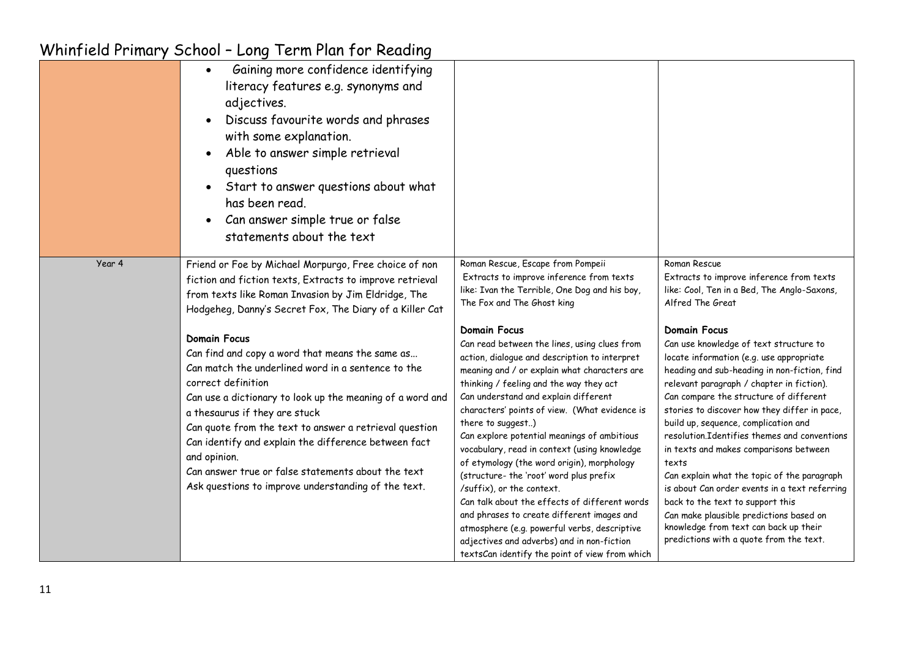|        | WITHIT ICIU FITHIUI Y OCHOOL - LONG TEITH FIUIT TOI REUUING                                                                                                                                                                                                                                                                                                                                                                                                                                                                                                                                                                                                                                                                            |                                                                                                                                                                                                                                                                                                                                                                                                                                                                                                                                                                                                                                                                                                                                                                                                                                                                                                                                                                   |                                                                                                                                                                                                                                                                                                                                                                                                                                                                                                                                                                                                                                                                                                                                                                                                                                               |
|--------|----------------------------------------------------------------------------------------------------------------------------------------------------------------------------------------------------------------------------------------------------------------------------------------------------------------------------------------------------------------------------------------------------------------------------------------------------------------------------------------------------------------------------------------------------------------------------------------------------------------------------------------------------------------------------------------------------------------------------------------|-------------------------------------------------------------------------------------------------------------------------------------------------------------------------------------------------------------------------------------------------------------------------------------------------------------------------------------------------------------------------------------------------------------------------------------------------------------------------------------------------------------------------------------------------------------------------------------------------------------------------------------------------------------------------------------------------------------------------------------------------------------------------------------------------------------------------------------------------------------------------------------------------------------------------------------------------------------------|-----------------------------------------------------------------------------------------------------------------------------------------------------------------------------------------------------------------------------------------------------------------------------------------------------------------------------------------------------------------------------------------------------------------------------------------------------------------------------------------------------------------------------------------------------------------------------------------------------------------------------------------------------------------------------------------------------------------------------------------------------------------------------------------------------------------------------------------------|
|        | Gaining more confidence identifying<br>$\bullet$<br>literacy features e.g. synonyms and<br>adjectives.<br>Discuss favourite words and phrases<br>$\bullet$<br>with some explanation.<br>Able to answer simple retrieval<br>$\bullet$<br>questions<br>Start to answer questions about what<br>$\bullet$<br>has been read.<br>Can answer simple true or false<br>statements about the text                                                                                                                                                                                                                                                                                                                                               |                                                                                                                                                                                                                                                                                                                                                                                                                                                                                                                                                                                                                                                                                                                                                                                                                                                                                                                                                                   |                                                                                                                                                                                                                                                                                                                                                                                                                                                                                                                                                                                                                                                                                                                                                                                                                                               |
| Year 4 | Friend or Foe by Michael Morpurgo, Free choice of non<br>fiction and fiction texts, Extracts to improve retrieval<br>from texts like Roman Invasion by Jim Eldridge, The<br>Hodgeheg, Danny's Secret Fox, The Diary of a Killer Cat<br><b>Domain Focus</b><br>Can find and copy a word that means the same as<br>Can match the underlined word in a sentence to the<br>correct definition<br>Can use a dictionary to look up the meaning of a word and<br>a thesaurus if they are stuck<br>Can quote from the text to answer a retrieval question<br>Can identify and explain the difference between fact<br>and opinion.<br>Can answer true or false statements about the text<br>Ask questions to improve understanding of the text. | Roman Rescue, Escape from Pompeii<br>Extracts to improve inference from texts<br>like: Ivan the Terrible, One Dog and his boy,<br>The Fox and The Ghost king<br><b>Domain Focus</b><br>Can read between the lines, using clues from<br>action, dialogue and description to interpret<br>meaning and / or explain what characters are<br>thinking / feeling and the way they act<br>Can understand and explain different<br>characters' points of view. (What evidence is<br>there to suggest)<br>Can explore potential meanings of ambitious<br>vocabulary, read in context (using knowledge<br>of etymology (the word origin), morphology<br>(structure- the 'root' word plus prefix<br>/suffix), or the context.<br>Can talk about the effects of different words<br>and phrases to create different images and<br>atmosphere (e.g. powerful verbs, descriptive<br>adjectives and adverbs) and in non-fiction<br>textsCan identify the point of view from which | Roman Rescue<br>Extracts to improve inference from texts<br>like: Cool, Ten in a Bed, The Anglo-Saxons,<br>Alfred The Great<br><b>Domain Focus</b><br>Can use knowledge of text structure to<br>locate information (e.g. use appropriate<br>heading and sub-heading in non-fiction, find<br>relevant paragraph / chapter in fiction).<br>Can compare the structure of different<br>stories to discover how they differ in pace,<br>build up, sequence, complication and<br>resolution.Identifies themes and conventions<br>in texts and makes comparisons between<br>texts<br>Can explain what the topic of the paragraph<br>is about Can order events in a text referring<br>back to the text to support this<br>Can make plausible predictions based on<br>knowledge from text can back up their<br>predictions with a quote from the text. |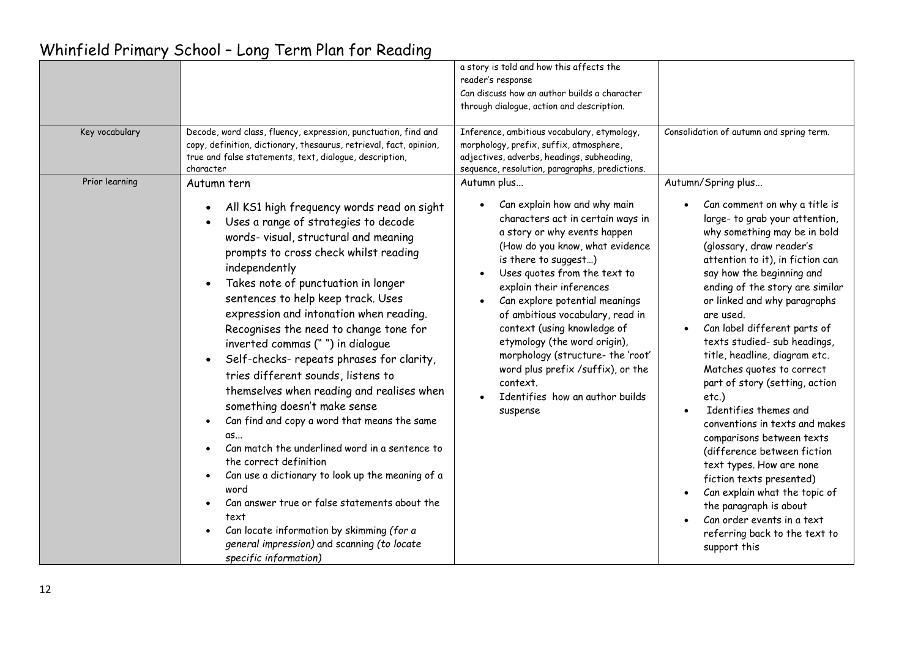| Whinfield Primary School - Long Term Plan for Reading |  |  |  |  |  |
|-------------------------------------------------------|--|--|--|--|--|
|-------------------------------------------------------|--|--|--|--|--|

| Key vocabulary | Decode, word class, fluency, expression, punctuation, find and<br>copy, definition, dictionary, thesaurus, retrieval, fact, opinion,<br>true and false statements, text, dialogue, description,                                                                                                                                                                                                                                                                                                                                                                                                                                                                                                                                                                                                                                                                                                                                                                                                            | a story is told and how this affects the<br>reader's response<br>Can discuss how an author builds a character<br>through dialogue, action and description.<br>Inference, ambitious vocabulary, etymology,<br>morphology, prefix, suffix, atmosphere,<br>adjectives, adverbs, headings, subheading,                                                                                                                                                                                                                                                                  | Consolidation of autumn and spring term.                                                                                                                                                                                                                                                                                                                                                                                                                                                                                                                                                                                                                                                                                                                                                                             |
|----------------|------------------------------------------------------------------------------------------------------------------------------------------------------------------------------------------------------------------------------------------------------------------------------------------------------------------------------------------------------------------------------------------------------------------------------------------------------------------------------------------------------------------------------------------------------------------------------------------------------------------------------------------------------------------------------------------------------------------------------------------------------------------------------------------------------------------------------------------------------------------------------------------------------------------------------------------------------------------------------------------------------------|---------------------------------------------------------------------------------------------------------------------------------------------------------------------------------------------------------------------------------------------------------------------------------------------------------------------------------------------------------------------------------------------------------------------------------------------------------------------------------------------------------------------------------------------------------------------|----------------------------------------------------------------------------------------------------------------------------------------------------------------------------------------------------------------------------------------------------------------------------------------------------------------------------------------------------------------------------------------------------------------------------------------------------------------------------------------------------------------------------------------------------------------------------------------------------------------------------------------------------------------------------------------------------------------------------------------------------------------------------------------------------------------------|
| Prior learning | character<br>Autumn tern<br>All KS1 high frequency words read on sight<br>Uses a range of strategies to decode<br>words- visual, structural and meaning<br>prompts to cross check whilst reading<br>independently<br>Takes note of punctuation in longer<br>$\bullet$<br>sentences to help keep track. Uses<br>expression and intonation when reading.<br>Recognises the need to change tone for<br>inverted commas ("") in dialogue<br>Self-checks- repeats phrases for clarity,<br>$\bullet$<br>tries different sounds, listens to<br>themselves when reading and realises when<br>something doesn't make sense<br>Can find and copy a word that means the same<br>as<br>Can match the underlined word in a sentence to<br>the correct definition<br>Can use a dictionary to look up the meaning of a<br>$\bullet$<br>word<br>Can answer true or false statements about the<br>text<br>Can locate information by skimming (for a<br>general impression) and scanning (to locate<br>specific information) | sequence, resolution, paragraphs, predictions.<br>Autumn plus<br>Can explain how and why main<br>characters act in certain ways in<br>a story or why events happen<br>(How do you know, what evidence<br>is there to suggest)<br>Uses quotes from the text to<br>explain their inferences<br>Can explore potential meanings<br>of ambitious vocabulary, read in<br>context (using knowledge of<br>etymology (the word origin),<br>morphology (structure- the 'root'<br>word plus prefix /suffix), or the<br>context.<br>Identifies how an author builds<br>suspense | Autumn/Spring plus<br>Can comment on why a title is<br>large- to grab your attention,<br>why something may be in bold<br>(glossary, draw reader's<br>attention to it), in fiction can<br>say how the beginning and<br>ending of the story are similar<br>or linked and why paragraphs<br>are used.<br>Can label different parts of<br>texts studied- sub headings,<br>title, headline, diagram etc.<br>Matches quotes to correct<br>part of story (setting, action<br>$etc.$ )<br>Identifies themes and<br>conventions in texts and makes<br>comparisons between texts<br>(difference between fiction<br>text types. How are none<br>fiction texts presented)<br>Can explain what the topic of<br>$\bullet$<br>the paragraph is about<br>Can order events in a text<br>referring back to the text to<br>support this |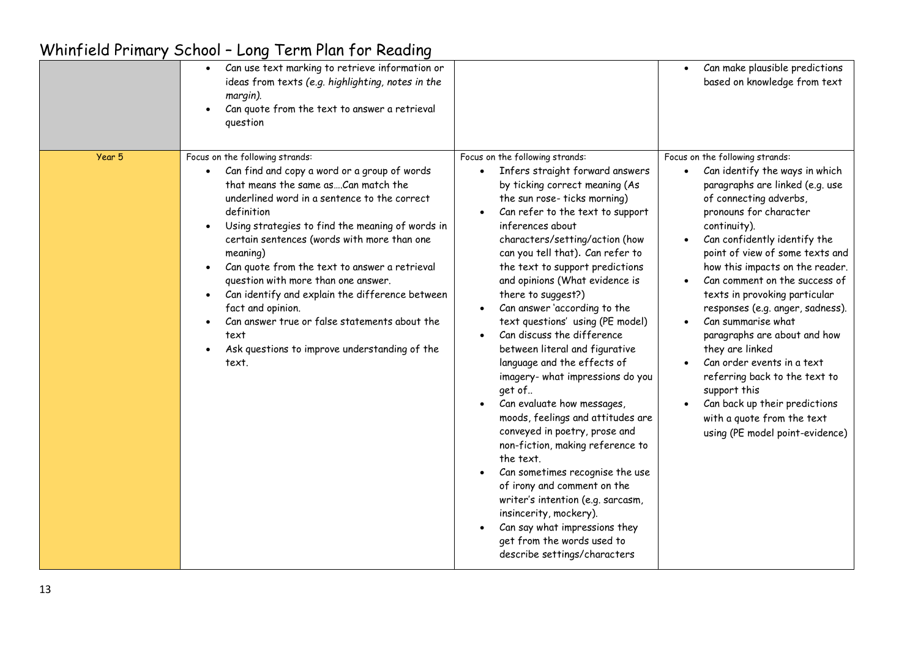|        | Can use text marking to retrieve information or<br>ideas from texts (e.g. highlighting, notes in the<br>margin).<br>Can quote from the text to answer a retrieval<br>question                                                                                                                                                                                                                                                                                                                                                                                                          |                                                                                                                                                                                                                                                                                                                                                                                                                                                                                                                                                                                                                                                                                                                                                                                                                                                                                                                                                                                 | Can make plausible predictions<br>based on knowledge from text                                                                                                                                                                                                                                                                                                                                                                                                                                                                                                                                                                                 |
|--------|----------------------------------------------------------------------------------------------------------------------------------------------------------------------------------------------------------------------------------------------------------------------------------------------------------------------------------------------------------------------------------------------------------------------------------------------------------------------------------------------------------------------------------------------------------------------------------------|---------------------------------------------------------------------------------------------------------------------------------------------------------------------------------------------------------------------------------------------------------------------------------------------------------------------------------------------------------------------------------------------------------------------------------------------------------------------------------------------------------------------------------------------------------------------------------------------------------------------------------------------------------------------------------------------------------------------------------------------------------------------------------------------------------------------------------------------------------------------------------------------------------------------------------------------------------------------------------|------------------------------------------------------------------------------------------------------------------------------------------------------------------------------------------------------------------------------------------------------------------------------------------------------------------------------------------------------------------------------------------------------------------------------------------------------------------------------------------------------------------------------------------------------------------------------------------------------------------------------------------------|
| Year 5 | Focus on the following strands:<br>Can find and copy a word or a group of words<br>that means the same asCan match the<br>underlined word in a sentence to the correct<br>definition<br>Using strategies to find the meaning of words in<br>certain sentences (words with more than one<br>meaning)<br>Can quote from the text to answer a retrieval<br>question with more than one answer.<br>Can identify and explain the difference between<br>fact and opinion.<br>Can answer true or false statements about the<br>text<br>Ask questions to improve understanding of the<br>text. | Focus on the following strands:<br>Infers straight forward answers<br>$\bullet$<br>by ticking correct meaning (As<br>the sun rose-ticks morning)<br>Can refer to the text to support<br>inferences about<br>characters/setting/action (how<br>can you tell that). Can refer to<br>the text to support predictions<br>and opinions (What evidence is<br>there to suggest?)<br>Can answer 'according to the<br>text questions' using (PE model)<br>Can discuss the difference<br>between literal and figurative<br>language and the effects of<br>imagery- what impressions do you<br>get of<br>Can evaluate how messages,<br>moods, feelings and attitudes are<br>conveyed in poetry, prose and<br>non-fiction, making reference to<br>the text.<br>Can sometimes recognise the use<br>of irony and comment on the<br>writer's intention (e.g. sarcasm,<br>insincerity, mockery).<br>Can say what impressions they<br>get from the words used to<br>describe settings/characters | Focus on the following strands:<br>Can identify the ways in which<br>paragraphs are linked (e.g. use<br>of connecting adverbs,<br>pronouns for character<br>continuity).<br>Can confidently identify the<br>point of view of some texts and<br>how this impacts on the reader.<br>Can comment on the success of<br>texts in provoking particular<br>responses (e.g. anger, sadness).<br>Can summarise what<br>paragraphs are about and how<br>they are linked<br>Can order events in a text<br>referring back to the text to<br>support this<br>Can back up their predictions<br>with a quote from the text<br>using (PE model point-evidence) |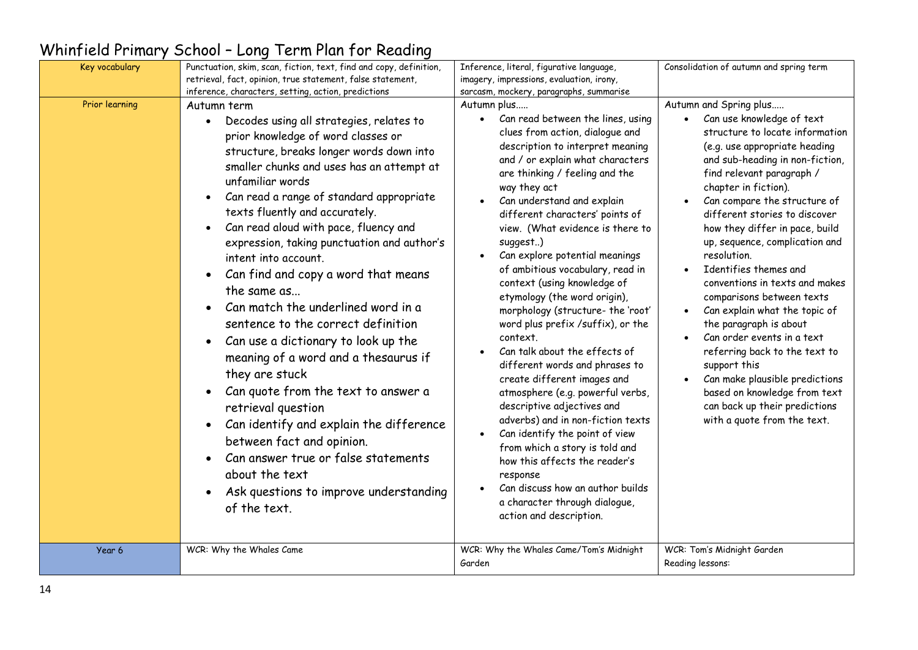| Key vocabulary | Punctuation, skim, scan, fiction, text, find and copy, definition,                                                                                                                                                                                                                                                                                                                                                                                                                                                                                                                                                                                                                                                                                                                                                                                                                                                                                                   | Inference, literal, figurative language,                                                                                                                                                                                                                                                                                                                                                                                                                                                                                                                                                                                                                                                                                                                                                                                                                                                                                                                                                                                                             | Consolidation of autumn and spring term                                                                                                                                                                                                                                                                                                                                                                                                                                                                                                                                                                                                                                                                                                 |
|----------------|----------------------------------------------------------------------------------------------------------------------------------------------------------------------------------------------------------------------------------------------------------------------------------------------------------------------------------------------------------------------------------------------------------------------------------------------------------------------------------------------------------------------------------------------------------------------------------------------------------------------------------------------------------------------------------------------------------------------------------------------------------------------------------------------------------------------------------------------------------------------------------------------------------------------------------------------------------------------|------------------------------------------------------------------------------------------------------------------------------------------------------------------------------------------------------------------------------------------------------------------------------------------------------------------------------------------------------------------------------------------------------------------------------------------------------------------------------------------------------------------------------------------------------------------------------------------------------------------------------------------------------------------------------------------------------------------------------------------------------------------------------------------------------------------------------------------------------------------------------------------------------------------------------------------------------------------------------------------------------------------------------------------------------|-----------------------------------------------------------------------------------------------------------------------------------------------------------------------------------------------------------------------------------------------------------------------------------------------------------------------------------------------------------------------------------------------------------------------------------------------------------------------------------------------------------------------------------------------------------------------------------------------------------------------------------------------------------------------------------------------------------------------------------------|
|                | retrieval, fact, opinion, true statement, false statement,<br>inference, characters, setting, action, predictions                                                                                                                                                                                                                                                                                                                                                                                                                                                                                                                                                                                                                                                                                                                                                                                                                                                    | imagery, impressions, evaluation, irony,<br>sarcasm, mockery, paragraphs, summarise                                                                                                                                                                                                                                                                                                                                                                                                                                                                                                                                                                                                                                                                                                                                                                                                                                                                                                                                                                  |                                                                                                                                                                                                                                                                                                                                                                                                                                                                                                                                                                                                                                                                                                                                         |
| Prior learning | Autumn term<br>Decodes using all strategies, relates to<br>$\bullet$<br>prior knowledge of word classes or<br>structure, breaks longer words down into<br>smaller chunks and uses has an attempt at<br>unfamiliar words<br>Can read a range of standard appropriate<br>texts fluently and accurately.<br>Can read aloud with pace, fluency and<br>$\bullet$<br>expression, taking punctuation and author's<br>intent into account.<br>Can find and copy a word that means<br>the same as<br>Can match the underlined word in a<br>sentence to the correct definition<br>Can use a dictionary to look up the<br>$\bullet$<br>meaning of a word and a thesaurus if<br>they are stuck<br>Can quote from the text to answer a<br>$\bullet$<br>retrieval question<br>Can identify and explain the difference<br>$\bullet$<br>between fact and opinion.<br>Can answer true or false statements<br>about the text<br>Ask questions to improve understanding<br>of the text. | Autumn plus<br>Can read between the lines, using<br>$\bullet$<br>clues from action, dialogue and<br>description to interpret meaning<br>and / or explain what characters<br>are thinking / feeling and the<br>way they act<br>Can understand and explain<br>different characters' points of<br>view. (What evidence is there to<br>suggest)<br>Can explore potential meanings<br>$\bullet$<br>of ambitious vocabulary, read in<br>context (using knowledge of<br>etymology (the word origin),<br>morphology (structure- the 'root'<br>word plus prefix /suffix), or the<br>context.<br>Can talk about the effects of<br>$\bullet$<br>different words and phrases to<br>create different images and<br>atmosphere (e.g. powerful verbs,<br>descriptive adjectives and<br>adverbs) and in non-fiction texts<br>Can identify the point of view<br>$\bullet$<br>from which a story is told and<br>how this affects the reader's<br>response<br>Can discuss how an author builds<br>$\bullet$<br>a character through dialogue,<br>action and description. | Autumn and Spring plus<br>Can use knowledge of text<br>structure to locate information<br>(e.g. use appropriate heading<br>and sub-heading in non-fiction,<br>find relevant paragraph /<br>chapter in fiction).<br>Can compare the structure of<br>different stories to discover<br>how they differ in pace, build<br>up, sequence, complication and<br>resolution.<br>Identifies themes and<br>conventions in texts and makes<br>comparisons between texts<br>Can explain what the topic of<br>the paragraph is about<br>Can order events in a text<br>referring back to the text to<br>support this<br>Can make plausible predictions<br>based on knowledge from text<br>can back up their predictions<br>with a quote from the text. |
| Year 6         | WCR: Why the Whales Came                                                                                                                                                                                                                                                                                                                                                                                                                                                                                                                                                                                                                                                                                                                                                                                                                                                                                                                                             | WCR: Why the Whales Came/Tom's Midnight<br>Garden                                                                                                                                                                                                                                                                                                                                                                                                                                                                                                                                                                                                                                                                                                                                                                                                                                                                                                                                                                                                    | WCR: Tom's Midnight Garden<br>Reading lessons:                                                                                                                                                                                                                                                                                                                                                                                                                                                                                                                                                                                                                                                                                          |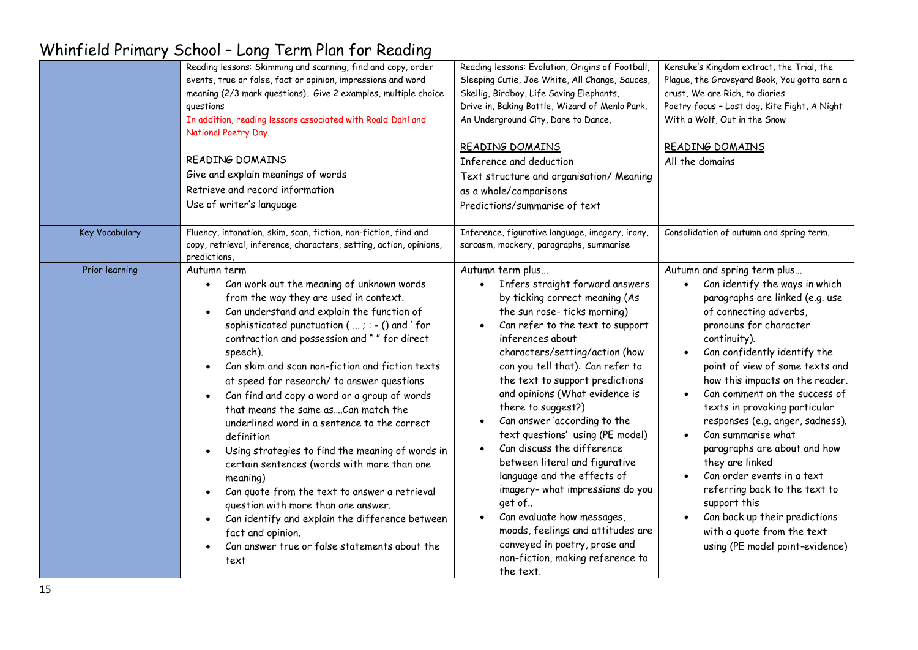|                | Reading lessons: Skimming and scanning, find and copy, order<br>events, true or false, fact or opinion, impressions and word<br>meaning (2/3 mark questions). Give 2 examples, multiple choice<br>questions<br>In addition, reading lessons associated with Roald Dahl and<br>National Poetry Day.<br>READING DOMAINS<br>Give and explain meanings of words<br>Retrieve and record information<br>Use of writer's language                                                                                                                                                                                                                                                                                                                                                                                                                                                    | Reading lessons: Evolution, Origins of Football,<br>Sleeping Cutie, Joe White, All Change, Sauces,<br>Skellig, Birdboy, Life Saving Elephants,<br>Drive in, Baking Battle, Wizard of Menlo Park,<br>An Underground City, Dare to Dance,<br>READING DOMAINS<br>Inference and deduction<br>Text structure and organisation/ Meaning<br>as a whole/comparisons<br>Predictions/summarise of text                                                                                                                                                                                                                                                                                                                                     | Kensuke's Kingdom extract, the Trial, the<br>Plague, the Graveyard Book, You gotta earn a<br>crust, We are Rich, to diaries<br>Poetry focus - Lost dog, Kite Fight, A Night<br>With a Wolf, Out in the Snow<br>READING DOMAINS<br>All the domains                                                                                                                                                                                                                                                                                                                                                                                          |
|----------------|-------------------------------------------------------------------------------------------------------------------------------------------------------------------------------------------------------------------------------------------------------------------------------------------------------------------------------------------------------------------------------------------------------------------------------------------------------------------------------------------------------------------------------------------------------------------------------------------------------------------------------------------------------------------------------------------------------------------------------------------------------------------------------------------------------------------------------------------------------------------------------|----------------------------------------------------------------------------------------------------------------------------------------------------------------------------------------------------------------------------------------------------------------------------------------------------------------------------------------------------------------------------------------------------------------------------------------------------------------------------------------------------------------------------------------------------------------------------------------------------------------------------------------------------------------------------------------------------------------------------------|--------------------------------------------------------------------------------------------------------------------------------------------------------------------------------------------------------------------------------------------------------------------------------------------------------------------------------------------------------------------------------------------------------------------------------------------------------------------------------------------------------------------------------------------------------------------------------------------------------------------------------------------|
| Key Vocabulary | Fluency, intonation, skim, scan, fiction, non-fiction, find and<br>copy, retrieval, inference, characters, setting, action, opinions,<br>predictions,                                                                                                                                                                                                                                                                                                                                                                                                                                                                                                                                                                                                                                                                                                                         | Inference, figurative language, imagery, irony,<br>sarcasm, mockery, paragraphs, summarise                                                                                                                                                                                                                                                                                                                                                                                                                                                                                                                                                                                                                                       | Consolidation of autumn and spring term.                                                                                                                                                                                                                                                                                                                                                                                                                                                                                                                                                                                                   |
| Prior learning | Autumn term<br>Can work out the meaning of unknown words<br>from the way they are used in context.<br>Can understand and explain the function of<br>sophisticated punctuation ( $$ ; : - () and ' for<br>contraction and possession and " " for direct<br>speech).<br>Can skim and scan non-fiction and fiction texts<br>at speed for research/ to answer questions<br>Can find and copy a word or a group of words<br>that means the same asCan match the<br>underlined word in a sentence to the correct<br>definition<br>Using strategies to find the meaning of words in<br>certain sentences (words with more than one<br>meaning)<br>Can quote from the text to answer a retrieval<br>question with more than one answer.<br>Can identify and explain the difference between<br>$\bullet$<br>fact and opinion.<br>Can answer true or false statements about the<br>text | Autumn term plus<br>Infers straight forward answers<br>by ticking correct meaning (As<br>the sun rose-ticks morning)<br>Can refer to the text to support<br>$\bullet$<br>inferences about<br>characters/setting/action (how<br>can you tell that). Can refer to<br>the text to support predictions<br>and opinions (What evidence is<br>there to suggest?)<br>Can answer 'according to the<br>text questions' using (PE model)<br>Can discuss the difference<br>between literal and figurative<br>language and the effects of<br>imagery- what impressions do you<br>get of<br>Can evaluate how messages,<br>moods, feelings and attitudes are<br>conveyed in poetry, prose and<br>non-fiction, making reference to<br>the text. | Autumn and spring term plus<br>Can identify the ways in which<br>paragraphs are linked (e.g. use<br>of connecting adverbs,<br>pronouns for character<br>continuity).<br>Can confidently identify the<br>point of view of some texts and<br>how this impacts on the reader.<br>Can comment on the success of<br>texts in provoking particular<br>responses (e.g. anger, sadness).<br>Can summarise what<br>paragraphs are about and how<br>they are linked<br>Can order events in a text<br>referring back to the text to<br>support this<br>Can back up their predictions<br>with a quote from the text<br>using (PE model point-evidence) |